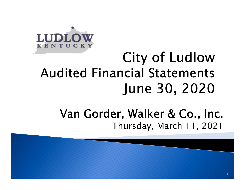

# City of Ludlow **Audited Financial Statements** June 30, 2020

### Van Gorder, Walker & Co., Inc. Thursday, March 11, 2021

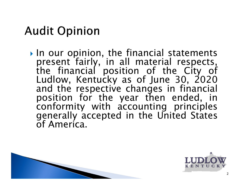## **Audit Opinion**

 $\triangleright$  In our opinion, the financial statements present fairly, in all material respects, the financial position of the City of Ludlow, Kentucky as of June 30, 2020 and the respective changes in financial position for the year then ended, in conformity with accounting principles generally accepted in the United States of America.



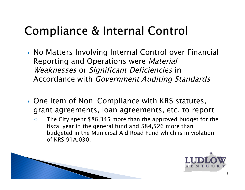## Compliance & Internal Control

- ▶ No Matters Involving Internal Control over Financial Reporting and Operations were Material Weaknesses or Significant Deficiencies in Accordance with Government Auditing Standards
- ▶ One item of Non-Compliance with KRS statutes, grant agreements, loan agreements, etc. to report
	- o The City spent \$86,345 more than the approved budget for the fiscal year in the general fund and \$84,526 more than budgeted in the Municipal Aid Road Fund which is in violation of KRS 91A.030.



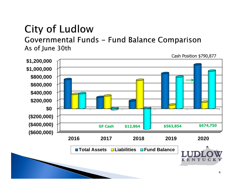Governmental Funds - Fund Balance Comparison As of June 30th

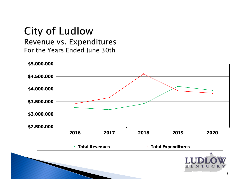#### **City of Ludlow** Revenue vs. Expenditures For the Years Ended June 30th

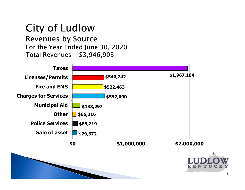**Revenues by Source** For the Year Ended June 30, 2020 Total Revenues - \$3,946,903

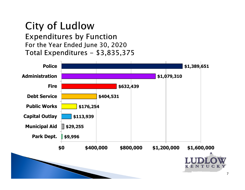**Expenditures by Function** For the Year Ended June 30, 2020 Total Expenditures - \$3,835,375

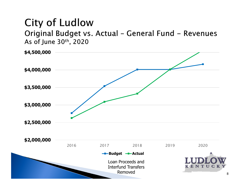Original Budget vs. Actual - General Fund - Revenues As of June 30th, 2020